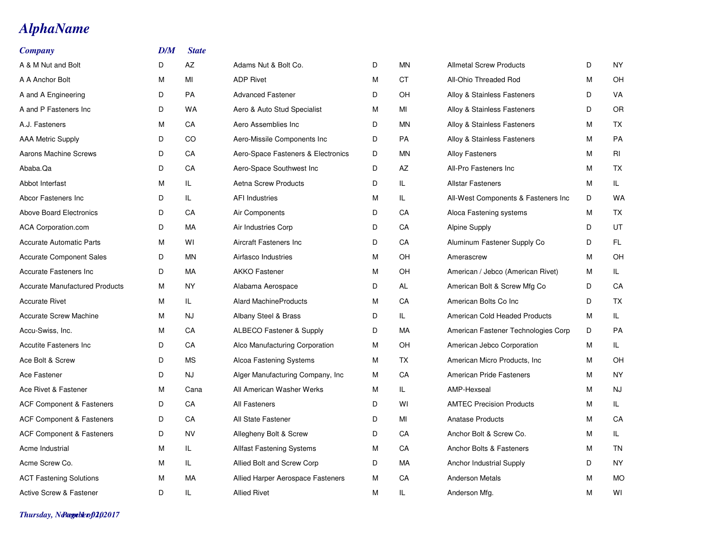## *AlphaName*

| <b>Company</b>                        | D/M | <b>State</b> |                                     |   |           |                                     |   |           |
|---------------------------------------|-----|--------------|-------------------------------------|---|-----------|-------------------------------------|---|-----------|
| A & M Nut and Bolt                    | D   | AZ           | Adams Nut & Bolt Co.                | D | MN        | <b>Allmetal Screw Products</b>      | D | NY        |
| A A Anchor Bolt                       | M   | MI           | <b>ADP Rivet</b>                    | M | <b>CT</b> | All-Ohio Threaded Rod               | M | OH        |
| A and A Engineering                   | D   | <b>PA</b>    | <b>Advanced Fastener</b>            | D | OH        | Alloy & Stainless Fasteners         | D | VA        |
| A and P Fasteners Inc.                | D   | <b>WA</b>    | Aero & Auto Stud Specialist         | M | MI        | Alloy & Stainless Fasteners         | D | <b>OR</b> |
| A.J. Fasteners                        | M   | CA           | Aero Assemblies Inc                 | D | MN        | Alloy & Stainless Fasteners         | M | <b>TX</b> |
| <b>AAA Metric Supply</b>              | D   | CO           | Aero-Missile Components Inc         | D | <b>PA</b> | Alloy & Stainless Fasteners         | M | PA        |
| Aarons Machine Screws                 | D   | CA           | Aero-Space Fasteners & Electronics  | D | MN        | <b>Alloy Fasteners</b>              | M | RI        |
| Ababa.Qa                              | D   | CA           | Aero-Space Southwest Inc            | D | AZ        | All-Pro Fasteners Inc.              | М | <b>TX</b> |
| Abbot Interfast                       | м   | IL           | <b>Aetna Screw Products</b>         | D | IL.       | <b>Allstar Fasteners</b>            | M | IL.       |
| Abcor Fasteners Inc                   | D   | IL           | <b>AFI Industries</b>               | М | IL.       | All-West Components & Fasteners Inc | D | <b>WA</b> |
| <b>Above Board Electronics</b>        | D   | CA           | Air Components                      | D | CA        | Aloca Fastening systems             | M | TX        |
| ACA Corporation.com                   | D   | MA           | Air Industries Corp                 | D | CA        | <b>Alpine Supply</b>                | D | <b>UT</b> |
| <b>Accurate Automatic Parts</b>       | M   | WI           | Aircraft Fasteners Inc              | D | CA        | Aluminum Fastener Supply Co         | D | FL.       |
| <b>Accurate Component Sales</b>       | D   | <b>MN</b>    | Airfasco Industries                 | М | OH        | Amerascrew                          | M | OH        |
| Accurate Fasteners Inc.               | D   | <b>MA</b>    | <b>AKKO Fastener</b>                | M | OH        | American / Jebco (American Rivet)   | M | IL.       |
| <b>Accurate Manufactured Products</b> | м   | <b>NY</b>    | Alabama Aerospace                   | D | AL        | American Bolt & Screw Mfg Co.       | D | CA        |
| <b>Accurate Rivet</b>                 | м   | IL           | <b>Alard MachineProducts</b>        | М | CA        | American Bolts Co Inc               | D | <b>TX</b> |
| <b>Accurate Screw Machine</b>         | м   | <b>NJ</b>    | Albany Steel & Brass                | D | IL.       | American Cold Headed Products       | M | IL.       |
| Accu-Swiss, Inc.                      | м   | CA           | <b>ALBECO Fastener &amp; Supply</b> | D | <b>MA</b> | American Fastener Technologies Corp | D | <b>PA</b> |
| Accutite Fasteners Inc                | D   | CA           | Alco Manufacturing Corporation      | M | OH        | American Jebco Corporation          | M | IL.       |
| Ace Bolt & Screw                      | D   | <b>MS</b>    | Alcoa Fastening Systems             | M | TX        | American Micro Products, Inc.       | М | OH        |
| Ace Fastener                          | D   | NJ           | Alger Manufacturing Company, Inc.   | M | CA        | American Pride Fasteners            | M | <b>NY</b> |
| Ace Rivet & Fastener                  | M   | Cana         | All American Washer Werks           | М | IL.       | AMP-Hexseal                         | M | <b>NJ</b> |
| <b>ACF Component &amp; Fasteners</b>  | D   | CA           | All Fasteners                       | D | WI        | <b>AMTEC Precision Products</b>     | М | IL.       |
| <b>ACF Component &amp; Fasteners</b>  | D   | CA           | All State Fastener                  | D | MI        | <b>Anatase Products</b>             | M | CA        |
| <b>ACF Component &amp; Fasteners</b>  | D   | <b>NV</b>    | Allegheny Bolt & Screw              | D | CA        | Anchor Bolt & Screw Co.             | М | IL.       |
| Acme Industrial                       | м   | IL           | <b>Allfast Fastening Systems</b>    | M | CA        | Anchor Bolts & Fasteners            | M | TN        |
| Acme Screw Co.                        | M   | IL           | Allied Bolt and Screw Corp          | D | <b>MA</b> | <b>Anchor Industrial Supply</b>     | D | <b>NY</b> |
| <b>ACT Fastening Solutions</b>        | M   | MA           | Allied Harper Aerospace Fasteners   | М | CA        | <b>Anderson Metals</b>              | M | <b>MO</b> |
| <b>Active Screw &amp; Fastener</b>    | D   | IL           | <b>Allied Rivet</b>                 | M | IL        | Anderson Mfg.                       | M | WI        |

*Thursday, November 02, 2017 Page 1 of 10*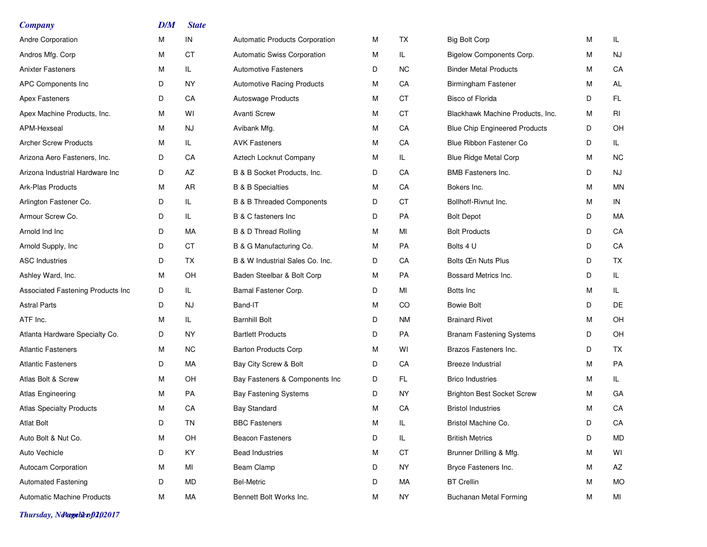| <b>Company</b>                    | D/M | <b>State</b> |                                      |   |           |                                      |   |           |
|-----------------------------------|-----|--------------|--------------------------------------|---|-----------|--------------------------------------|---|-----------|
| Andre Corporation                 | м   | IN           | Automatic Products Corporation       | M | TX        | <b>Big Bolt Corp</b>                 | M | IL.       |
| Andros Mfg. Corp                  | м   | <b>CT</b>    | Automatic Swiss Corporation          | M | IL.       | Bigelow Components Corp.             | M | NJ        |
| <b>Anixter Fasteners</b>          | м   | IL           | <b>Automotive Fasteners</b>          | D | NC        | <b>Binder Metal Products</b>         | M | CA        |
| APC Components Inc                | D   | NY.          | <b>Automotive Racing Products</b>    | М | CA        | <b>Birmingham Fastener</b>           | М | AL        |
| <b>Apex Fasteners</b>             | D   | CA           | Autoswage Products                   | м | СT        | <b>Bisco of Florida</b>              | D | FL.       |
| Apex Machine Products, Inc.       | м   | WI           | <b>Avanti Screw</b>                  | м | <b>CT</b> | Blackhawk Machine Products, Inc.     | M | RI        |
| APM-Hexseal                       | м   | <b>NJ</b>    | Avibank Mfg.                         | M | CA        | <b>Blue Chip Engineered Products</b> | D | OH        |
| <b>Archer Screw Products</b>      | м   | IL           | <b>AVK Fasteners</b>                 | м | CA        | Blue Ribbon Fastener Co              | D | IL.       |
| Arizona Aero Fasteners, Inc.      | D   | СA           | Aztech Locknut Company               | M | IL.       | <b>Blue Ridge Metal Corp</b>         | M | <b>NC</b> |
| Arizona Industrial Hardware Inc   | D   | AZ           | B & B Socket Products, Inc.          | D | CA        | BMB Fasteners Inc.                   | D | NJ        |
| Ark-Plas Products                 | м   | AR           | <b>B &amp; B Specialties</b>         | м | CA        | Bokers Inc.                          | M | MN        |
| Arlington Fastener Co.            | D   | IL           | <b>B &amp; B Threaded Components</b> | D | СT        | Bollhoff-Rivnut Inc.                 | M | IN        |
| Armour Screw Co.                  | D   | IL           | B & C fasteners Inc                  | D | PA        | <b>Bolt Depot</b>                    | D | МA        |
| Arnold Ind Inc                    | D   | МA           | <b>B &amp; D Thread Rolling</b>      | м | MI        | <b>Bolt Products</b>                 | D | CA        |
| Arnold Supply, Inc.               | D   | <b>CT</b>    | B & G Manufacturing Co.              | M | PA        | Bolts 4 U                            | D | CA        |
| <b>ASC Industries</b>             | D   | TX           | B & W Industrial Sales Co. Inc.      | D | CA        | Bolts CEn Nuts Plus                  | D | TX        |
| Ashley Ward, Inc.                 | M   | OH           | Baden Steelbar & Bolt Corp           | M | PA        | Bossard Metrics Inc.                 | D | IL.       |
| Associated Fastening Products Inc | D   | IL           | Bamal Fastener Corp.                 | D | MI        | Botts Inc                            | M | IL.       |
| <b>Astral Parts</b>               | D   | NJ           | Band-IT                              | м | CO        | <b>Bowie Bolt</b>                    | D | DE        |
| ATF Inc.                          | м   | IL           | <b>Barnhill Bolt</b>                 | D | NM.       | <b>Brainard Rivet</b>                | M | OH        |
| Atlanta Hardware Specialty Co.    | D   | NY.          | <b>Bartlett Products</b>             | D | PA        | <b>Branam Fastening Systems</b>      | D | OH        |
| <b>Atlantic Fasteners</b>         | м   | NC.          | <b>Barton Products Corp</b>          | м | WI        | Brazos Fasteners Inc.                | D | TX        |
| <b>Atlantic Fasteners</b>         | D   | МA           | Bay City Screw & Bolt                | D | CA        | <b>Breeze Industrial</b>             | M | PA        |
| Atlas Bolt & Screw                | м   | OН           | Bay Fasteners & Components Inc       | D | FL.       | <b>Brico Industries</b>              | Μ | IL.       |
| <b>Atlas Engineering</b>          | м   | PA           | <b>Bay Fastening Systems</b>         | D | ΝY        | <b>Brighton Best Socket Screw</b>    | Μ | GA        |
| <b>Atlas Specialty Products</b>   | м   | СA           | <b>Bay Standard</b>                  | м | CA        | <b>Bristol Industries</b>            | М | CA        |
| <b>Atlat Bolt</b>                 | D   | TN           | <b>BBC Fasteners</b>                 | М | IL        | Bristol Machine Co.                  | D | CA        |
| Auto Bolt & Nut Co.               | м   | OH           | <b>Beacon Fasteners</b>              | D | IL.       | <b>British Metrics</b>               | D | MD        |
| Auto Vechicle                     | D   | KY.          | <b>Bead Industries</b>               | М | CT        | Brunner Drilling & Mfg.              | M | WI        |
| Autocam Corporation               | м   | MI           | Beam Clamp                           | D | <b>NY</b> | Bryce Fasteners Inc.                 | M | AZ        |
| <b>Automated Fastening</b>        | D   | MD           | <b>Bel-Metric</b>                    | D | МA        | <b>BT</b> Crellin                    | M | <b>MO</b> |
| <b>Automatic Machine Products</b> | M   | МA           | Bennett Bolt Works Inc.              | М | <b>NY</b> | <b>Buchanan Metal Forming</b>        | М | MI        |

*Thursday, November 02, 2017 Page 2 of 10*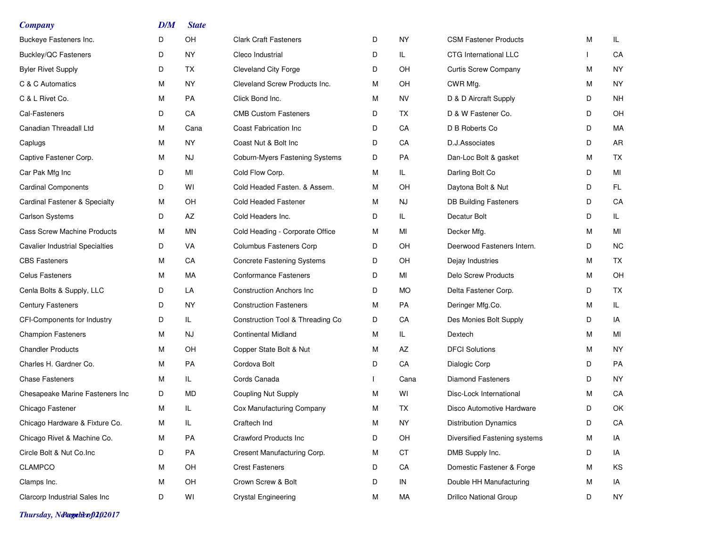| <b>Company</b>                           | D/M | <b>State</b> |                                   |   |           |                               |   |           |
|------------------------------------------|-----|--------------|-----------------------------------|---|-----------|-------------------------------|---|-----------|
| Buckeye Fasteners Inc.                   | D   | OH           | <b>Clark Craft Fasteners</b>      | D | <b>NY</b> | <b>CSM Fastener Products</b>  | M | IL.       |
| <b>Buckley/QC Fasteners</b>              | D   | NY           | Cleco Industrial                  | D | IL.       | CTG International LLC         |   | CA        |
| <b>Byler Rivet Supply</b>                | D   | TX           | <b>Cleveland City Forge</b>       | D | OН        | <b>Curtis Screw Company</b>   | M | <b>NY</b> |
| C & C Automatics                         | М   | NY.          | Cleveland Screw Products Inc.     | М | OН        | CWR Mfg.                      | M | <b>NY</b> |
| C & L Rivet Co.                          | м   | PA           | Click Bond Inc.                   | M | <b>NV</b> | D & D Aircraft Supply         | D | <b>NH</b> |
| Cal-Fasteners                            | D   | СA           | <b>CMB Custom Fasteners</b>       | D | TX        | D & W Fastener Co.            | D | OH        |
| Canadian Threadall Ltd                   | М   | Cana         | Coast Fabrication Inc             | D | СA        | D B Roberts Co                | D | МA        |
| Caplugs                                  | м   | NY           | Coast Nut & Bolt Inc              | D | СA        | D.J.Associates                | D | AR        |
| Captive Fastener Corp.                   | М   | NJ           | Coburn-Myers Fastening Systems    | D | PA        | Dan-Loc Bolt & gasket         | M | TX        |
| Car Pak Mfg Inc                          | D   | MI           | Cold Flow Corp.                   | M | IL.       | Darling Bolt Co               | D | MI        |
| <b>Cardinal Components</b>               | D   | WI           | Cold Headed Fasten. & Assem.      | M | OH        | Daytona Bolt & Nut            | D | FL.       |
| <b>Cardinal Fastener &amp; Specialty</b> | М   | OН           | Cold Headed Fastener              | M | NJ        | <b>DB Building Fasteners</b>  | D | CA        |
| <b>Carlson Systems</b>                   | D   | AZ           | Cold Headers Inc.                 | D | IL.       | Decatur Bolt                  | D | IL.       |
| <b>Cass Screw Machine Products</b>       | М   | ΜN           | Cold Heading - Corporate Office   | M | MI        | Decker Mfg.                   | M | MI        |
| <b>Cavalier Industrial Specialties</b>   | D   | VA           | <b>Columbus Fasteners Corp</b>    | D | OH        | Deerwood Fasteners Intern.    | D | <b>NC</b> |
| <b>CBS Fasteners</b>                     | М   | CA           | <b>Concrete Fastening Systems</b> | D | OH        | Dejay Industries              | Μ | TX        |
| <b>Celus Fasteners</b>                   | М   | МA           | <b>Conformance Fasteners</b>      | D | MI        | <b>Delo Screw Products</b>    | M | OH        |
| Cenla Bolts & Supply, LLC                | D   | LA           | <b>Construction Anchors Inc</b>   | D | <b>MO</b> | Delta Fastener Corp.          | D | TX        |
| <b>Century Fasteners</b>                 | D   | <b>NY</b>    | <b>Construction Fasteners</b>     | M | PA        | Deringer Mfg.Co.              | M | IL.       |
| CFI-Components for Industry              | D   | IL.          | Construction Tool & Threading Co  | D | CA        | Des Monies Bolt Supply        | D | IA        |
| <b>Champion Fasteners</b>                | м   | NJ           | <b>Continental Midland</b>        | M | IL.       | Dextech                       | M | MI        |
| <b>Chandler Products</b>                 | М   | OН           | Copper State Bolt & Nut           | M | AZ        | <b>DFCI Solutions</b>         | Μ | <b>NY</b> |
| Charles H. Gardner Co.                   | М   | PA           | Cordova Bolt                      | D | СA        | Dialogic Corp                 | D | PA        |
| <b>Chase Fasteners</b>                   | М   | IL.          | Cords Canada                      |   | Cana      | <b>Diamond Fasteners</b>      | D | <b>NY</b> |
| Chesapeake Marine Fasteners Inc          | D   | MD           | <b>Coupling Nut Supply</b>        | М | W١        | Disc-Lock International       | М | CA        |
| Chicago Fastener                         | М   | IL           | Cox Manufacturing Company         | M | <b>TX</b> | Disco Automotive Hardware     | D | OK        |
| Chicago Hardware & Fixture Co.           | М   | IL           | Craftech Ind                      | М | <b>NY</b> | <b>Distribution Dynamics</b>  | D | CA        |
| Chicago Rivet & Machine Co.              | М   | PA           | Crawford Products Inc             | D | OH        | Diversified Fastening systems | M | IA        |
| Circle Bolt & Nut Co.Inc                 | D   | PA           | Cresent Manufacturing Corp.       | M | СT        | DMB Supply Inc.               | D | IA        |
| <b>CLAMPCO</b>                           | м   | OH           | <b>Crest Fasteners</b>            | D | CA        | Domestic Fastener & Forge     | M | KS        |
| Clamps Inc.                              | M   | OH           | Crown Screw & Bolt                | D | IN        | Double HH Manufacturing       | M | IA        |
| Clarcorp Industrial Sales Inc            | D   | WI           | <b>Crystal Engineering</b>        | М | МA        | <b>Drillco National Group</b> | D | NY        |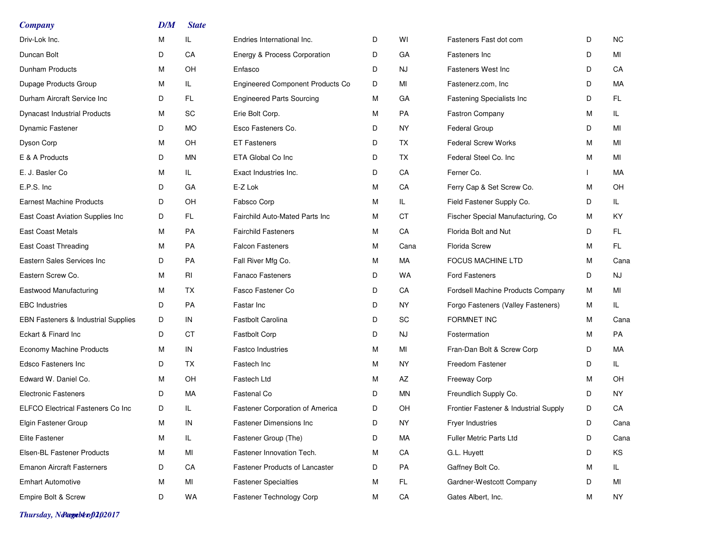| <b>Company</b>                           | D/M | <b>State</b> |                                         |   |           |                                       |   |           |
|------------------------------------------|-----|--------------|-----------------------------------------|---|-----------|---------------------------------------|---|-----------|
| Driv-Lok Inc.                            | M   | IL.          | Endries International Inc.              | D | WI        | Fasteners Fast dot com                | D | <b>NC</b> |
| Duncan Bolt                              | D   | CA           | Energy & Process Corporation            | D | GA        | Fasteners Inc                         | D | MI        |
| Dunham Products                          | м   | OH           | Enfasco                                 | D | NJ        | <b>Fasteners West Inc</b>             | D | CA        |
| Dupage Products Group                    | M   | IL           | <b>Engineered Component Products Co</b> | D | MI        | Fastenerz.com, Inc.                   | D | МA        |
| Durham Aircraft Service Inc              | D   | FL           | <b>Engineered Parts Sourcing</b>        | M | GA        | Fastening Specialists Inc             | D | FL.       |
| <b>Dynacast Industrial Products</b>      | M   | SC           | Erie Bolt Corp.                         | M | PA        | <b>Fastron Company</b>                | м | IL.       |
| Dynamic Fastener                         | D   | <b>MO</b>    | Esco Fasteners Co.                      | D | <b>NY</b> | Federal Group                         | D | MI        |
| Dyson Corp                               | M   | OH           | <b>ET Fasteners</b>                     | D | ТX        | <b>Federal Screw Works</b>            | м | MI        |
| E & A Products                           | D   | ΜN           | ETA Global Co Inc                       | D | <b>TX</b> | Federal Steel Co. Inc                 | м | MI        |
| E. J. Basler Co                          | м   | IL.          | Exact Industries Inc.                   | D | CA        | Ferner Co.                            |   | МA        |
| E.P.S. Inc                               | D   | GА           | E-Z Lok                                 | М | CA        | Ferry Cap & Set Screw Co.             | м | OH        |
| <b>Earnest Machine Products</b>          | D   | OH           | Fabsco Corp                             | М | IL.       | Field Fastener Supply Co.             | D | IL.       |
| East Coast Aviation Supplies Inc         | D   | FL.          | Fairchild Auto-Mated Parts Inc          | М | <b>CT</b> | Fischer Special Manufacturing, Co     | м | KY        |
| <b>East Coast Metals</b>                 | м   | PA           | <b>Fairchild Fasteners</b>              | М | CA        | Florida Bolt and Nut                  | D | FL.       |
| <b>East Coast Threading</b>              | M   | PA           | <b>Falcon Fasteners</b>                 | M | Cana      | <b>Florida Screw</b>                  | м | FL.       |
| Eastern Sales Services Inc               | D   | PA           | Fall River Mfg Co.                      | м | МA        | <b>FOCUS MACHINE LTD</b>              | M | Cana      |
| Eastern Screw Co.                        | М   | RI           | <b>Fanaco Fasteners</b>                 | D | WA        | <b>Ford Fasteners</b>                 | D | NJ        |
| Eastwood Manufacturing                   | M   | <b>TX</b>    | Fasco Fastener Co                       | D | CA        | Fordsell Machine Products Company     | M | MI        |
| <b>EBC</b> Industries                    | D   | PA           | Fastar Inc                              | D | ΝY        | Forgo Fasteners (Valley Fasteners)    | м | IL.       |
| EBN Fasteners & Industrial Supplies      | D   | IN           | <b>Fastbolt Carolina</b>                | D | SC        | <b>FORMNET INC</b>                    | м | Cana      |
| Eckart & Finard Inc                      | D   | <b>CT</b>    | <b>Fastbolt Corp</b>                    | D | <b>NJ</b> | Fostermation                          | M | PA        |
| <b>Economy Machine Products</b>          | M   | IN           | <b>Fastco Industries</b>                | M | MI        | Fran-Dan Bolt & Screw Corp            | D | МA        |
| Edsco Fasteners Inc                      | D   | <b>TX</b>    | Fastech Inc                             | М | <b>NY</b> | Freedom Fastener                      | D | IL.       |
| Edward W. Daniel Co.                     | м   | OH           | Fastech Ltd                             | M | AZ        | <b>Freeway Corp</b>                   | м | OH        |
| <b>Electronic Fasteners</b>              | D   | МA           | Fastenal Co                             | D | ΜN        | Freundlich Supply Co.                 | D | NY.       |
| <b>ELFCO Electrical Fasteners Co Inc</b> | D   | IL.          | Fastener Corporation of America         | D | OH        | Frontier Fastener & Industrial Supply | D | CA        |
| Elgin Fastener Group                     | M   | IN           | Fastener Dimensions Inc                 | D | NY.       | Fryer Industries                      | D | Cana      |
| Elite Fastener                           | М   | IL.          | Fastener Group (The)                    | D | MA        | Fuller Metric Parts Ltd               | D | Cana      |
| Elsen-BL Fastener Products               | м   | MI           | Fastener Innovation Tech.               | М | CA        | G.L. Huyett                           | D | KS        |
| <b>Emanon Aircraft Fasterners</b>        | D   | CA           | <b>Fastener Products of Lancaster</b>   | D | PA        | Gaffney Bolt Co.                      | M | IL.       |
| <b>Emhart Automotive</b>                 | М   | MI           | <b>Fastener Specialties</b>             | М | FL.       | Gardner-Westcott Company              | D | ΜI        |
| Empire Bolt & Screw                      | D   | WA           | Fastener Technology Corp                | М | CA        | Gates Albert, Inc.                    | M | NY        |

*Thursday, November 02, 2017 Page 4 of 10*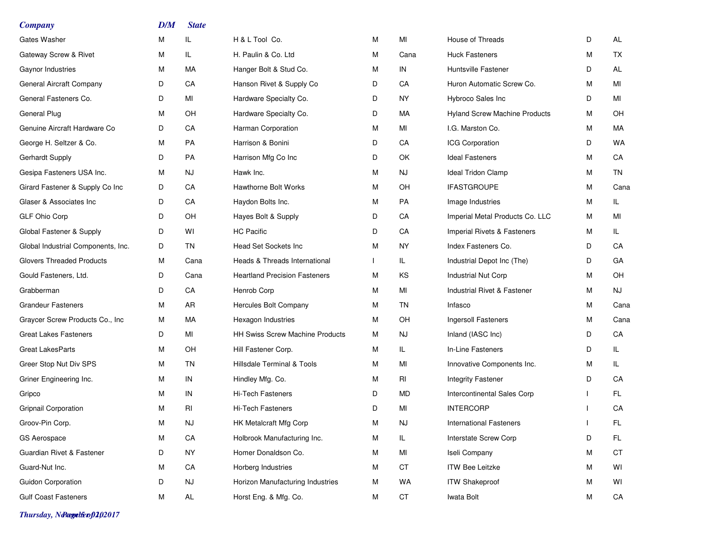| <b>Company</b>                     | DM | <b>State</b> |                                        |   |                        |                                      |   |           |
|------------------------------------|----|--------------|----------------------------------------|---|------------------------|--------------------------------------|---|-----------|
| Gates Washer                       | M  | IL           | H & L Tool Co.                         | М | MI                     | House of Threads                     | D | AL        |
| Gateway Screw & Rivet              | M  | IL           | H. Paulin & Co. Ltd                    | М | Cana                   | <b>Huck Fasteners</b>                | м | TX        |
| Gaynor Industries                  | M  | МA           | Hanger Bolt & Stud Co.                 | м | IN                     | <b>Huntsville Fastener</b>           | D | AL        |
| General Aircraft Company           | D  | CA           | Hanson Rivet & Supply Co               | D | СA                     | Huron Automatic Screw Co.            | м | MI        |
| General Fasteners Co.              | D  | MI           | Hardware Specialty Co.                 | D | ΝY                     | Hybroco Sales Inc                    | D | MI        |
| General Plug                       | M  | OH           | Hardware Specialty Co.                 | D | МA                     | <b>Hyland Screw Machine Products</b> | M | OH        |
| Genuine Aircraft Hardware Co       | D  | CA           | Harman Corporation                     | M | MI                     | I.G. Marston Co.                     | м | MA        |
| George H. Seltzer & Co.            | M  | PA           | Harrison & Bonini                      | D | СA                     | <b>ICG Corporation</b>               | D | <b>WA</b> |
| Gerhardt Supply                    | D  | PA           | Harrison Mfg Co Inc                    | D | OK                     | <b>Ideal Fasteners</b>               | м | CA        |
| Gesipa Fasteners USA Inc.          | M  | NJ           | Hawk Inc.                              | М | NJ                     | Ideal Tridon Clamp                   | M | <b>TN</b> |
| Girard Fastener & Supply Co Inc    | D  | CA           | <b>Hawthorne Bolt Works</b>            | М | OH                     | <b>IFASTGROUPE</b>                   | M | Cana      |
| Glaser & Associates Inc            | D  | CA           | Haydon Bolts Inc.                      | М | PA                     | Image Industries                     | M | IL.       |
| GLF Ohio Corp                      | D  | OH           | Hayes Bolt & Supply                    | D | СA                     | Imperial Metal Products Co. LLC      | М | MI        |
| Global Fastener & Supply           | D  | WI           | <b>HC Pacific</b>                      | D | СA                     | Imperial Rivets & Fasteners          | м | IL.       |
| Global Industrial Components, Inc. | D  | TN           | Head Set Sockets Inc                   | M | <b>NY</b>              | Index Fasteners Co.                  | D | CA        |
| <b>Glovers Threaded Products</b>   | M  | Cana         | Heads & Threads International          |   | IL.                    | Industrial Depot Inc (The)           | D | GA        |
| Gould Fasteners, Ltd.              | D  | Cana         | <b>Heartland Precision Fasteners</b>   | М | KS                     | Industrial Nut Corp                  | м | OH        |
| Grabberman                         | D  | CA           | Henrob Corp                            | М | MI                     | Industrial Rivet & Fastener          | M | NJ        |
| <b>Grandeur Fasteners</b>          | M  | AR           | Hercules Bolt Company                  | М | TN                     | Infasco                              | M | Cana      |
| Graycer Screw Products Co., Inc    | M  | МA           | Hexagon Industries                     | М | OН                     | Ingersoll Fasteners                  | м | Cana      |
| <b>Great Lakes Fasteners</b>       | D  | MI           | <b>HH Swiss Screw Machine Products</b> | М | NJ                     | Inland (IASC Inc)                    | D | СA        |
| <b>Great LakesParts</b>            | M  | OH           | Hill Fastener Corp.                    | М | IL.                    | In-Line Fasteners                    | D | IL.       |
| Greer Stop Nut Div SPS             | M  | <b>TN</b>    | <b>Hillsdale Terminal &amp; Tools</b>  | M | MI                     | Innovative Components Inc.           | м | IL.       |
| Griner Engineering Inc.            | M  | IN           | Hindley Mfg. Co.                       | М | RI                     | <b>Integrity Fastener</b>            | D | CA        |
| Gripco                             | M  | IN           | <b>Hi-Tech Fasteners</b>               | D | МD                     | Intercontinental Sales Corp          |   | FL.       |
| <b>Gripnail Corporation</b>        | M  | RI           | Hi-Tech Fasteners                      | D | MI                     | <b>INTERCORP</b>                     |   | СA        |
| Groov-Pin Corp.                    | M  | <b>NJ</b>    | HK Metalcraft Mfg Corp                 | М | $\mathsf{N}\mathsf{J}$ | <b>International Fasteners</b>       |   | FL        |
| <b>GS Aerospace</b>                | M  | CA           | Holbrook Manufacturing Inc.            | М | IL.                    | Interstate Screw Corp                | D | FL        |
| Guardian Rivet & Fastener          | D  | <b>NY</b>    | Homer Donaldson Co.                    | М | MI                     | Iseli Company                        | M | СT        |
| Guard-Nut Inc.                     | M  | CA           | Horberg Industries                     | М | CT                     | <b>ITW Bee Leitzke</b>               | М | WI        |
| <b>Guidon Corporation</b>          | D  | <b>NJ</b>    | Horizon Manufacturing Industries       | М | WA                     | <b>ITW Shakeproof</b>                | M | WI        |
| <b>Gulf Coast Fasteners</b>        | M  | AL           | Horst Eng. & Mfg. Co.                  | М | CT                     | Iwata Bolt                           | M | CA        |

*Thursday, November 02, 2017 Page 5 of 10*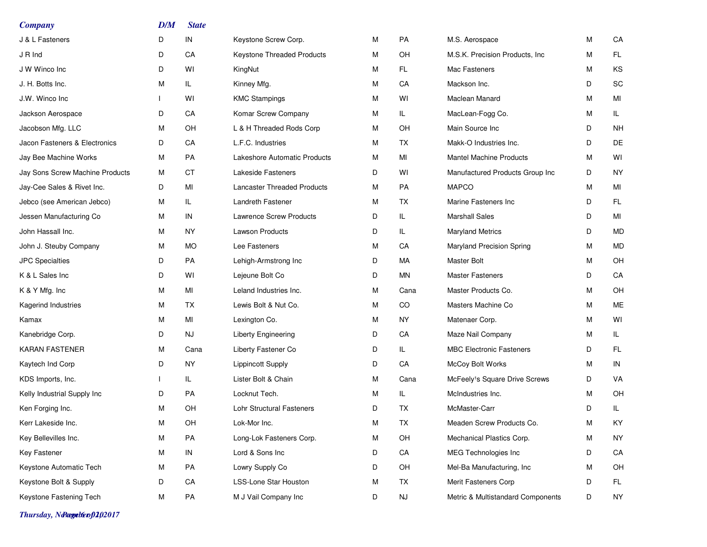| M | CA        |
|---|-----------|
| M | FL.       |
| M | KS        |
| D | SC        |
| M | MI        |
| M | IL.       |
| D | <b>NH</b> |
| D | DE        |
| M | WI        |
| D | <b>NY</b> |
| M | MI        |
| D | FL.       |
| D | MI        |
| D | MD        |
| M | MD        |
| M | OH        |
| D | CA        |
| M | OH        |
| M | ME        |
| M | WI        |
| M | IL.       |
| D | FL.       |
| M | IN        |
| D | VA        |
| M | OH        |
| D | IL.       |
| М | KY        |
| M | <b>NY</b> |
| D | CA        |
| М | OH        |
| D | FL.       |
| D | <b>NY</b> |
|   |           |

*Thursday, November 02, 2017 Page 6 of 10*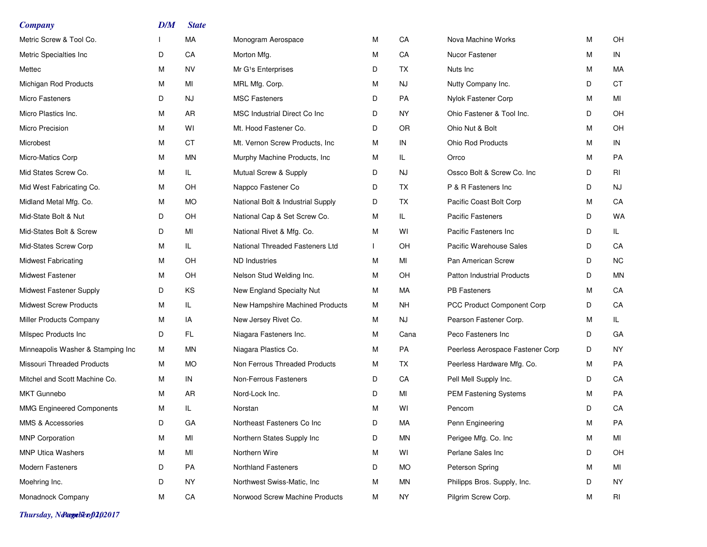| <b>Company</b>                    | DM | <b>State</b> |                                   |   |           |                                   |   |           |
|-----------------------------------|----|--------------|-----------------------------------|---|-----------|-----------------------------------|---|-----------|
| Metric Screw & Tool Co.           |    | МA           | Monogram Aerospace                | M | CA        | Nova Machine Works                | М | OH        |
| Metric Specialties Inc            | D  | CA           | Morton Mfg.                       | M | CA        | Nucor Fastener                    | М | IN        |
| Mettec                            | M  | NV           | Mr G <sup>1</sup> s Enterprises   | D | TX        | Nuts Inc                          | М | MA        |
| Michigan Rod Products             | М  | MI           | MRL Mfg. Corp.                    | M | NJ.       | Nutty Company Inc.                | D | <b>CT</b> |
| Micro Fasteners                   | D  | NJ           | <b>MSC Fasteners</b>              | D | PA        | Nylok Fastener Corp               | М | MI        |
| Micro Plastics Inc.               | M  | AR.          | MSC Industrial Direct Co Inc      | D | <b>NY</b> | Ohio Fastener & Tool Inc.         | D | OH        |
| Micro Precision                   | M  | WI           | Mt. Hood Fastener Co.             | D | <b>OR</b> | Ohio Nut & Bolt                   | м | OH        |
| Microbest                         | М  | <b>CT</b>    | Mt. Vernon Screw Products, Inc.   | M | IN        | <b>Ohio Rod Products</b>          | М | IN        |
| Micro-Matics Corp                 | М  | MN           | Murphy Machine Products, Inc.     | M | IL.       | Orrco                             | М | PA        |
| Mid States Screw Co.              | M  | IL.          | Mutual Screw & Supply             | D | <b>NJ</b> | Ossco Bolt & Screw Co. Inc        | D | RI        |
| Mid West Fabricating Co.          | M  | OH           | Nappco Fastener Co                | D | TX.       | P & R Fasteners Inc               | D | <b>NJ</b> |
| Midland Metal Mfg. Co.            | M  | <b>MO</b>    | National Bolt & Industrial Supply | D | TX        | Pacific Coast Bolt Corp           | М | CA        |
| Mid-State Bolt & Nut              | D  | OH           | National Cap & Set Screw Co.      | M | IL.       | <b>Pacific Fasteners</b>          | D | WA        |
| Mid-States Bolt & Screw           | D  | MI           | National Rivet & Mfg. Co.         | M | WI        | Pacific Fasteners Inc             | D | IL.       |
| Mid-States Screw Corp             | M  | IL           | National Threaded Fasteners Ltd   |   | <b>OH</b> | Pacific Warehouse Sales           | D | CA        |
| <b>Midwest Fabricating</b>        | М  | <b>OH</b>    | ND Industries                     | M | MI        | Pan American Screw                | D | <b>NC</b> |
| <b>Midwest Fastener</b>           | М  | OH           | Nelson Stud Welding Inc.          | м | OH        | <b>Patton Industrial Products</b> | D | MN        |
| Midwest Fastener Supply           | D  | ΚS           | New England Specialty Nut         | M | <b>MA</b> | <b>PB Fasteners</b>               | м | CA        |
| <b>Midwest Screw Products</b>     | М  | IL           | New Hampshire Machined Products   | м | NH.       | PCC Product Component Corp        | D | CA        |
| Miller Products Company           | М  | IA           | New Jersey Rivet Co.              | M | NJ.       | Pearson Fastener Corp.            | М | IL.       |
| Milspec Products Inc              | D  | FL           | Niagara Fasteners Inc.            | м | Cana      | Peco Fasteners Inc                | D | GA        |
| Minneapolis Washer & Stamping Inc | М  | <b>MN</b>    | Niagara Plastics Co.              | M | <b>PA</b> | Peerless Aerospace Fastener Corp  | D | <b>NY</b> |
| Missouri Threaded Products        | М  | <b>MO</b>    | Non Ferrous Threaded Products     | M | <b>TX</b> | Peerless Hardware Mfg. Co.        | м | PA        |
| Mitchel and Scott Machine Co.     | М  | IN           | Non-Ferrous Fasteners             | D | CA        | Pell Mell Supply Inc.             | D | CA        |
| <b>MKT Gunnebo</b>                | М  | AR           | Nord-Lock Inc.                    | D | MI        | PEM Fastening Systems             | м | PA        |
| <b>MMG Engineered Components</b>  | M  | IL           | Norstan                           | M | WI        | Pencom                            | D | CA        |
| MMS & Accessories                 | D  | GA           | Northeast Fasteners Co Inc        | D | MA        | Penn Engineering                  | M | PA        |
| <b>MNP Corporation</b>            | М  | MI           | Northern States Supply Inc        | D | ΜN        | Perigee Mfg. Co. Inc              | М | MI        |
| <b>MNP Utica Washers</b>          | М  | MI           | Northern Wire                     | M | WI        | Perlane Sales Inc                 | D | OH        |
| Modern Fasteners                  | D  | PA           | <b>Northland Fasteners</b>        | D | MO.       | Peterson Spring                   | М | MI        |
| Moehring Inc.                     | D  | NY.          | Northwest Swiss-Matic, Inc.       | M | ΜN        | Philipps Bros. Supply, Inc.       | D | NY        |
| Monadnock Company                 | M  | CA           | Norwood Screw Machine Products    | м | NY.       | Pilgrim Screw Corp.               | М | RI        |

*Thursday, November 02, 2017 Page 7 of 10*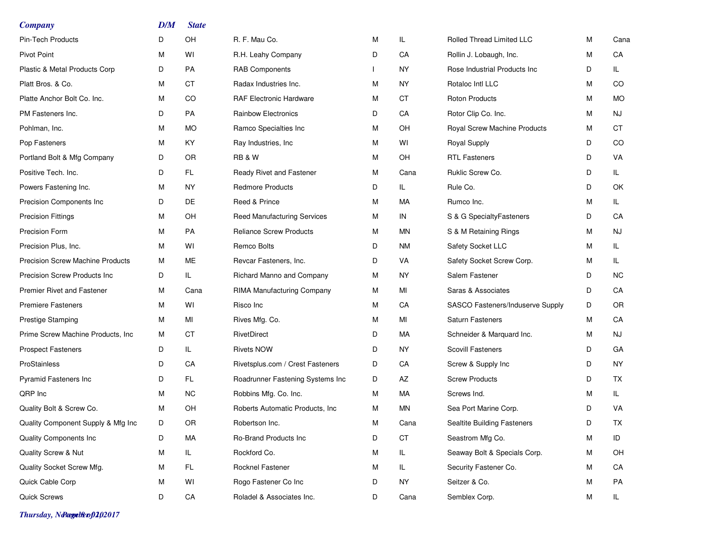| <b>Company</b>                          | D/M | <b>State</b> |                                    |   |      |                                  |   |           |
|-----------------------------------------|-----|--------------|------------------------------------|---|------|----------------------------------|---|-----------|
| <b>Pin-Tech Products</b>                | D   | OН           | R. F. Mau Co.                      | M | IL.  | Rolled Thread Limited LLC        | м | Cana      |
| <b>Pivot Point</b>                      | М   | W١           | R.H. Leahy Company                 | D | CA   | Rollin J. Lobaugh, Inc.          | M | CA        |
| Plastic & Metal Products Corp           | D   | PA           | <b>RAB Components</b>              |   | NY.  | Rose Industrial Products Inc.    | D | IL.       |
| Platt Bros. & Co.                       | М   | СT           | Radax Industries Inc.              | M | ΝY   | Rotaloc Intl LLC                 | M | CO        |
| Platte Anchor Bolt Co. Inc.             | М   | CO           | <b>RAF Electronic Hardware</b>     | M | СT   | <b>Roton Products</b>            | м | MO        |
| PM Fasteners Inc.                       | D   | PA           | <b>Rainbow Electronics</b>         | D | CA   | Rotor Clip Co. Inc.              | M | NJ        |
| Pohlman, Inc.                           | М   | МO           | Ramco Specialties Inc              | M | OН   | Royal Screw Machine Products     | м | СT        |
| Pop Fasteners                           | М   | KY           | Ray Industries, Inc.               | M | WI   | Royal Supply                     | D | CO        |
| Portland Bolt & Mfg Company             | D   | OR           | <b>RB &amp; W</b>                  | M | OН   | <b>RTL Fasteners</b>             | D | VA        |
| Positive Tech. Inc.                     | D   | FL.          | Ready Rivet and Fastener           | M | Cana | Ruklic Screw Co.                 | D | IL.       |
| Powers Fastening Inc.                   | М   | NY.          | <b>Redmore Products</b>            | D | IL.  | Rule Co.                         | D | OK        |
| Precision Components Inc                | D   | DE           | Reed & Prince                      | M | МA   | Rumco Inc.                       | M | IL.       |
| <b>Precision Fittings</b>               | М   | OH           | <b>Reed Manufacturing Services</b> | М | IN   | S & G SpecialtyFasteners         | D | CA        |
| Precision Form                          | М   | PA           | <b>Reliance Screw Products</b>     | M | ΜN   | S & M Retaining Rings            | м | NJ        |
| Precision Plus, Inc.                    | М   | W١           | Remco Bolts                        | D | ΝM   | Safety Socket LLC                | м | IL        |
| <b>Precision Screw Machine Products</b> | М   | ME           | Revcar Fasteners, Inc.             | D | VA   | Safety Socket Screw Corp.        | М | IL        |
| <b>Precision Screw Products Inc</b>     | D   | IL           | Richard Manno and Company          | м | NY.  | Salem Fastener                   | D | NC.       |
| <b>Premier Rivet and Fastener</b>       | М   | Cana         | RIMA Manufacturing Company         | M | MI   | Saras & Associates               | D | CA        |
| <b>Premiere Fasteners</b>               | М   | W١           | Risco Inc                          | M | CA   | SASCO Fasteners/Induserve Supply | D | OR.       |
| <b>Prestige Stamping</b>                | М   | MI           | Rives Mfg. Co.                     | М | MI   | <b>Saturn Fasteners</b>          | M | CA        |
| Prime Screw Machine Products, Inc.      | м   | СT           | RivetDirect                        | D | МA   | Schneider & Marquard Inc.        | М | NJ        |
| <b>Prospect Fasteners</b>               | D   | IL           | <b>Rivets NOW</b>                  | D | ΝY   | <b>Scovill Fasteners</b>         | D | GA        |
| ProStainless                            | D   | CA           | Rivetsplus.com / Crest Fasteners   | D | CA   | Screw & Supply Inc               | D | NY.       |
| Pyramid Fasteners Inc                   | D   | FL.          | Roadrunner Fastening Systems Inc   | D | AZ   | <b>Screw Products</b>            | D | TX.       |
| QRP Inc                                 | М   | <b>NC</b>    | Robbins Mfg. Co. Inc.              | м | МA   | Screws Ind.                      | М | IL.       |
| Quality Bolt & Screw Co.                | М   | OH           | Roberts Automatic Products, Inc.   | M | ΜN   | Sea Port Marine Corp.            | D | VA        |
| Quality Component Supply & Mfg Inc      |     | OR           | Robertson Inc.                     | М | Cana | Sealtite Building Fasteners      | D | <b>TX</b> |
| <b>Quality Components Inc.</b>          | D   | МA           | Ro-Brand Products Inc              | D | CT   | Seastrom Mfg Co.                 | M | ID        |
| Quality Screw & Nut                     | М   | IL.          | Rockford Co.                       | М | IL.  | Seaway Bolt & Specials Corp.     | M | OH        |
| Quality Socket Screw Mfg.               | М   | FL.          | Rocknel Fastener                   | M | IL.  | Security Fastener Co.            | M | CA        |
| Quick Cable Corp                        | М   | WI           | Rogo Fastener Co Inc               | D | NY.  | Seitzer & Co.                    | М | PA        |
| <b>Quick Screws</b>                     | D   | CA           | Roladel & Associates Inc.          | D | Cana | Semblex Corp.                    | M | IL.       |

*Thursday, November 02, 2017 Page 8 of 10*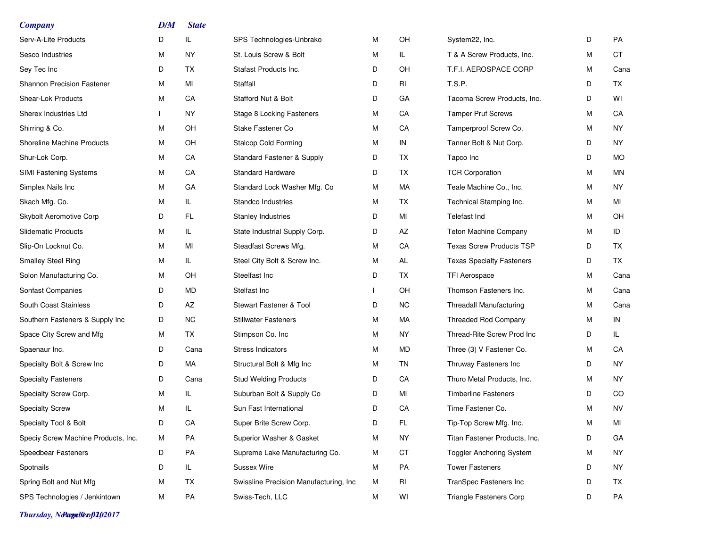| <b>Company</b>                      | DM           | <b>State</b> |                                         |   |     |                                  |   |           |
|-------------------------------------|--------------|--------------|-----------------------------------------|---|-----|----------------------------------|---|-----------|
| Serv-A-Lite Products                | D            | IL           | SPS Technologies-Unbrako                | M | OH  | System22, Inc.                   | D | PA        |
| Sesco Industries                    | М            | NY           | St. Louis Screw & Bolt                  | м | IL. | T & A Screw Products, Inc.       | M | CT        |
| Sey Tec Inc                         | D            | ТX           | Stafast Products Inc.                   | D | OH  | T.F.I. AEROSPACE CORP            | м | Cana      |
| <b>Shannon Precision Fastener</b>   | М            | MI           | Staffall                                | D | RI  | T.S.P.                           | D | TX        |
| Shear-Lok Products                  | М            | CA           | Stafford Nut & Bolt                     | D | GА  | Tacoma Screw Products, Inc.      | D | WI        |
| Sherex Industries Ltd               | $\mathbf{I}$ | NY.          | Stage 8 Locking Fasteners               | м | CA  | <b>Tamper Pruf Screws</b>        | М | CA        |
| Shirring & Co.                      | М            | OН           | Stake Fastener Co                       | м | CA  | Tamperproof Screw Co.            | М | NY.       |
| <b>Shoreline Machine Products</b>   | М            | OH           | <b>Stalcop Cold Forming</b>             | м | IN  | Tanner Bolt & Nut Corp.          | D | NY.       |
| Shur-Lok Corp.                      | М            | CA           | Standard Fastener & Supply              | D | TX  | Tapco Inc                        | D | MO.       |
| SIMI Fastening Systems              | М            | CA           | <b>Standard Hardware</b>                | D | TX. | <b>TCR Corporation</b>           | м | MN        |
| Simplex Nails Inc                   | М            | GA           | Standard Lock Washer Mfg. Co            | м | МA  | Teale Machine Co., Inc.          | м | NY.       |
| Skach Mfg. Co.                      | М            | IL           | Standco Industries                      | м | TX. | Technical Stamping Inc.          | М | MI        |
| Skybolt Aeromotive Corp             | D            | <b>FL</b>    | <b>Stanley Industries</b>               | D | MI  | <b>Telefast Ind</b>              | М | OH        |
| <b>Slidematic Products</b>          | М            | IL           | State Industrial Supply Corp.           | D | AZ  | <b>Teton Machine Company</b>     | M | ID        |
| Slip-On Locknut Co.                 | М            | MI           | Steadfast Screws Mfg.                   | м | CA  | <b>Texas Screw Products TSP</b>  | D | TX        |
| <b>Smalley Steel Ring</b>           | М            | IL.          | Steel City Bolt & Screw Inc.            | м | AL  | <b>Texas Specialty Fasteners</b> | D | TX        |
| Solon Manufacturing Co.             | М            | OH           | Steelfast Inc                           | D | TX  | <b>TFI Aerospace</b>             | М | Cana      |
| Sonfast Companies                   | D            | MD           | Stelfast Inc                            |   | OH  | Thomson Fasteners Inc.           | м | Cana      |
| South Coast Stainless               | D            | AZ           | Stewart Fastener & Tool                 | D | NC. | <b>Threadall Manufacturing</b>   | м | Cana      |
| Southern Fasteners & Supply Inc     | D            | ΝC           | <b>Stillwater Fasteners</b>             | м | МA  | <b>Threaded Rod Company</b>      | м | IN        |
| Space City Screw and Mfg            | М            | ТX           | Stimpson Co. Inc                        | м | NY. | Thread-Rite Screw Prod Inc       | D | IL.       |
| Spaenaur Inc.                       | D            | Cana         | <b>Stress Indicators</b>                | м | MD  | Three (3) V Fastener Co.         | M | CA        |
| Specialty Bolt & Screw Inc          | D            | МA           | Structural Bolt & Mfg Inc               | M | TN  | Thruway Fasteners Inc            | D | NY.       |
| <b>Specialty Fasteners</b>          | D            | Cana         | <b>Stud Welding Products</b>            | D | CA  | Thuro Metal Products, Inc.       | м | NY.       |
| Specialty Screw Corp.               | М            | IL           | Suburban Bolt & Supply Co               | D | MI  | <b>Timberline Fasteners</b>      | D | CO.       |
| <b>Specialty Screw</b>              | М            | IL           | Sun Fast International                  | D | CA  | Time Fastener Co.                | M | <b>NV</b> |
| Specialty Tool & Bolt               | D            | CA           | Super Brite Screw Corp.                 | D | FL  | Tip-Top Screw Mfg. Inc.          | M | MI        |
| Speciy Screw Machine Products, Inc. | м            | PA           | Superior Washer & Gasket                | м | NY. | Titan Fastener Products, Inc.    | D | GA        |
| Speedbear Fasteners                 | D            | PA           | Supreme Lake Manufacturing Co.          | M | CT  | <b>Toggler Anchoring System</b>  | M | NY.       |
| Spotnails                           | D            | IL.          | Sussex Wire                             | M | PA  | <b>Tower Fasteners</b>           | D | NY.       |
| Spring Bolt and Nut Mfg             | М            | TX           | Swissline Precision Manufacturing, Inc. | M | RI  | TranSpec Fasteners Inc           | D | TX        |
| SPS Technologies / Jenkintown       | М            | PA           | Swiss-Tech, LLC                         | M | WI  | <b>Triangle Fasteners Corp</b>   | D | PA        |

*Thursday, November 02, 2017 Page 9 of 10*